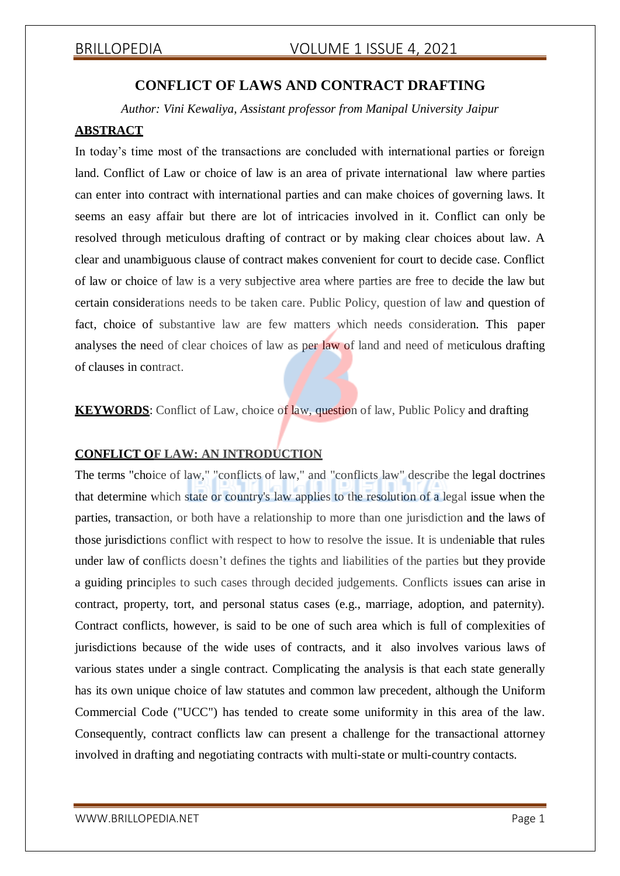## **CONFLICT OF LAWS AND CONTRACT DRAFTING**

*Author: Vini Kewaliya, Assistant professor from Manipal University Jaipur*

## **ABSTRACT**

In today's time most of the transactions are concluded with international parties or foreign land. Conflict of Law or choice of law is an area of private international law where parties can enter into contract with international parties and can make choices of governing laws. It seems an easy affair but there are lot of intricacies involved in it. Conflict can only be resolved through meticulous drafting of contract or by making clear choices about law. A clear and unambiguous clause of contract makes convenient for court to decide case. Conflict of law or choice of law is a very subjective area where parties are free to decide the law but certain considerations needs to be taken care. Public Policy, question of law and question of fact, choice of substantive law are few matters which needs consideration. This paper analyses the need of clear choices of law as per law of land and need of meticulous drafting of clauses in contract.

**KEYWORDS**: Conflict of Law, choice of law, question of law, Public Policy and drafting

### **CONFLICT OF LAW: AN INTRODUCTION**

The terms "choice of law," "conflicts of law," and "conflicts law" describe the legal doctrines that determine which state or country's law applies to the resolution of a legal issue when the parties, transaction, or both have a relationship to more than one jurisdiction and the laws of those jurisdictions conflict with respect to how to resolve the issue. It is undeniable that rules under law of conflicts doesn't defines the tights and liabilities of the parties but they provide a guiding principles to such cases through decided judgements. Conflicts issues can arise in contract, property, tort, and personal status cases (e.g., marriage, adoption, and paternity). Contract conflicts, however, is said to be one of such area which is full of complexities of jurisdictions because of the wide uses of contracts, and it also involves various laws of various states under a single contract. Complicating the analysis is that each state generally has its own unique choice of law statutes and common law precedent, although the Uniform Commercial Code ("UCC") has tended to create some uniformity in this area of the law. Consequently, contract conflicts law can present a challenge for the transactional attorney involved in drafting and negotiating contracts with multi-state or multi-country contacts.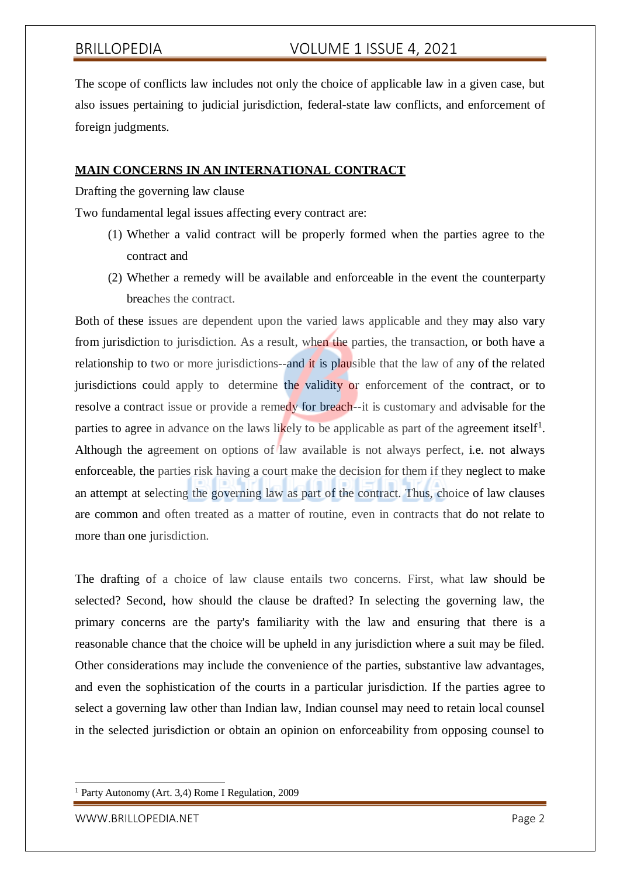The scope of conflicts law includes not only the choice of applicable law in a given case, but also issues pertaining to judicial jurisdiction, federal-state law conflicts, and enforcement of foreign judgments.

#### **MAIN CONCERNS IN AN INTERNATIONAL CONTRACT**

Drafting the governing law clause

Two fundamental legal issues affecting every contract are:

- (1) Whether a valid contract will be properly formed when the parties agree to the contract and
- (2) Whether a remedy will be available and enforceable in the event the counterparty breaches the contract.

Both of these issues are dependent upon the varied laws applicable and they may also vary from jurisdiction to jurisdiction. As a result, when the parties, the transaction, or both have a relationship to two or more jurisdictions--and it is plausible that the law of any of the related jurisdictions could apply to determine the validity or enforcement of the contract, or to resolve a contract issue or provide a remedy for breach--it is customary and advisable for the parties to agree in advance on the laws likely to be applicable as part of the agreement itself<sup>1</sup>. Although the agreement on options of law available is not always perfect, i.e. not always enforceable, the parties risk having a court make the decision for them if they neglect to make an attempt at selecting the governing law as part of the contract. Thus, choice of law clauses are common and often treated as a matter of routine, even in contracts that do not relate to more than one jurisdiction.

The drafting of a choice of law clause entails two concerns. First, what law should be selected? Second, how should the clause be drafted? In selecting the governing law, the primary concerns are the party's familiarity with the law and ensuring that there is a reasonable chance that the choice will be upheld in any jurisdiction where a suit may be filed. Other considerations may include the convenience of the parties, substantive law advantages, and even the sophistication of the courts in a particular jurisdiction. If the parties agree to select a governing law other than Indian law, Indian counsel may need to retain local counsel in the selected jurisdiction or obtain an opinion on enforceability from opposing counsel to

<sup>1</sup> Party Autonomy (Art. 3,4) Rome I Regulation, 2009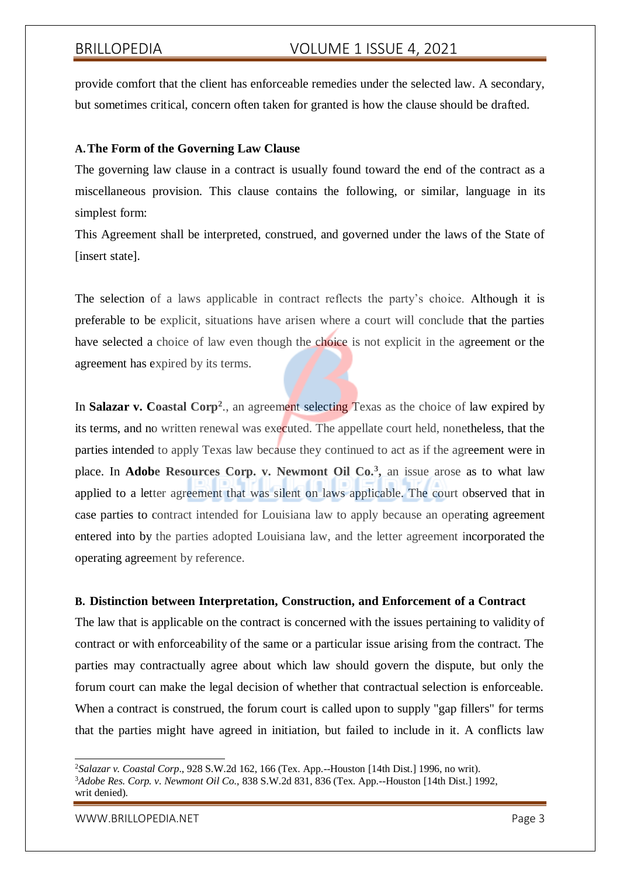provide comfort that the client has enforceable remedies under the selected law. A secondary, but sometimes critical, concern often taken for granted is how the clause should be drafted.

### **A.The Form of the Governing Law Clause**

The governing law clause in a contract is usually found toward the end of the contract as a miscellaneous provision. This clause contains the following, or similar, language in its simplest form:

This Agreement shall be interpreted, construed, and governed under the laws of the State of [insert state].

The selection of a laws applicable in contract reflects the party's choice. Although it is preferable to be explicit, situations have arisen where a court will conclude that the parties have selected a choice of law even though the choice is not explicit in the agreement or the agreement has expired by its terms.

In Salazar v. Coastal Corp<sup>2</sup>., an agreement selecting Texas as the choice of law expired by its terms, and no written renewal was executed. The appellate court held, nonetheless, that the parties intended to apply Texas law because they continued to act as if the agreement were in place. In **Adobe Resources Corp. v. Newmont Oil Co.<sup>3</sup> ,** an issue arose as to what law applied to a letter agreement that was silent on laws applicable. The court observed that in case parties to contract intended for Louisiana law to apply because an operating agreement entered into by the parties adopted Louisiana law, and the letter agreement incorporated the operating agreement by reference.

## **B. Distinction between Interpretation, Construction, and Enforcement of a Contract**

The law that is applicable on the contract is concerned with the issues pertaining to validity of contract or with enforceability of the same or a particular issue arising from the contract. The parties may contractually agree about which law should govern the dispute, but only the forum court can make the legal decision of whether that contractual selection is enforceable. When a contract is construed, the forum court is called upon to supply "gap fillers" for terms that the parties might have agreed in initiation, but failed to include in it. A conflicts law

<sup>2</sup>*Salazar v. Coastal Corp*., 928 S.W.2d 162, 166 (Tex. App.--Houston [14th Dist.] 1996, no writ).

<sup>3</sup>*Adobe Res. Corp. v. Newmont Oil Co.,* 838 S.W.2d 831, 836 (Tex. App.--Houston [14th Dist.] 1992, writ denied).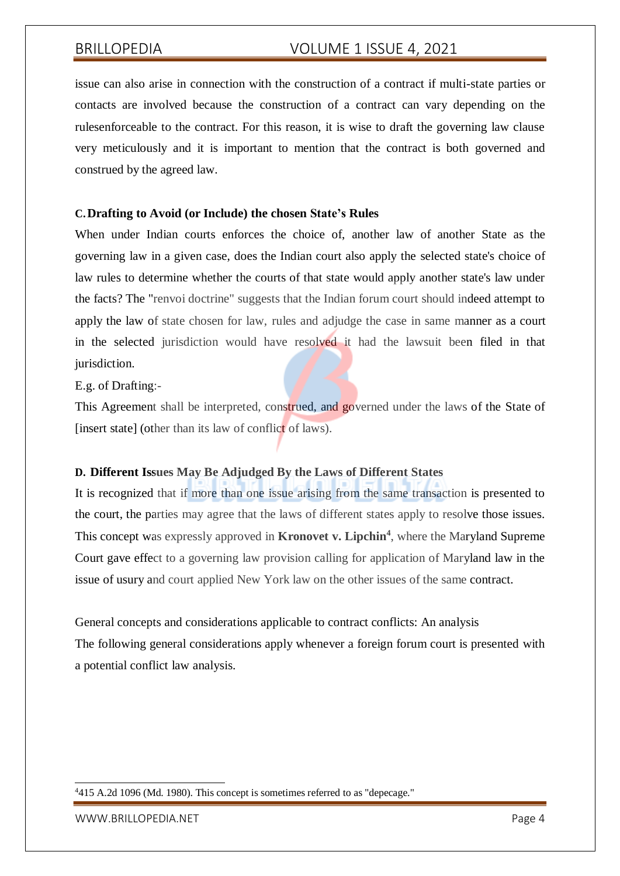issue can also arise in connection with the construction of a contract if multi-state parties or contacts are involved because the construction of a contract can vary depending on the rulesenforceable to the contract. For this reason, it is wise to draft the governing law clause very meticulously and it is important to mention that the contract is both governed and construed by the agreed law.

#### **C.Drafting to Avoid (or Include) the chosen State's Rules**

When under Indian courts enforces the choice of, another law of another State as the governing law in a given case, does the Indian court also apply the selected state's choice of law rules to determine whether the courts of that state would apply another state's law under the facts? The "renvoi doctrine" suggests that the Indian forum court should indeed attempt to apply the law of state chosen for law, rules and adjudge the case in same manner as a court in the selected jurisdiction would have resolved it had the lawsuit been filed in that jurisdiction.

#### E.g. of Drafting:-

This Agreement shall be interpreted, construed, and governed under the laws of the State of [insert state] (other than its law of conflict of laws).

### **D. Different Issues May Be Adjudged By the Laws of Different States**

It is recognized that if more than one issue arising from the same transaction is presented to the court, the parties may agree that the laws of different states apply to resolve those issues. This concept was expressly approved in **Kronovet v. Lipchin<sup>4</sup>** , where the Maryland Supreme Court gave effect to a governing law provision calling for application of Maryland law in the issue of usury and court applied New York law on the other issues of the same contract.

# General concepts and considerations applicable to contract conflicts: An analysis The following general considerations apply whenever a foreign forum court is presented with a potential conflict law analysis.

[WWW.BRILLOPEDIA.NET](http://www.brillopedia.net/) FOR A SERVICE OF THE SERVICE OF THE PAGE 4

<sup>4</sup>415 A.2d 1096 (Md. 1980). This concept is sometimes referred to as "depecage."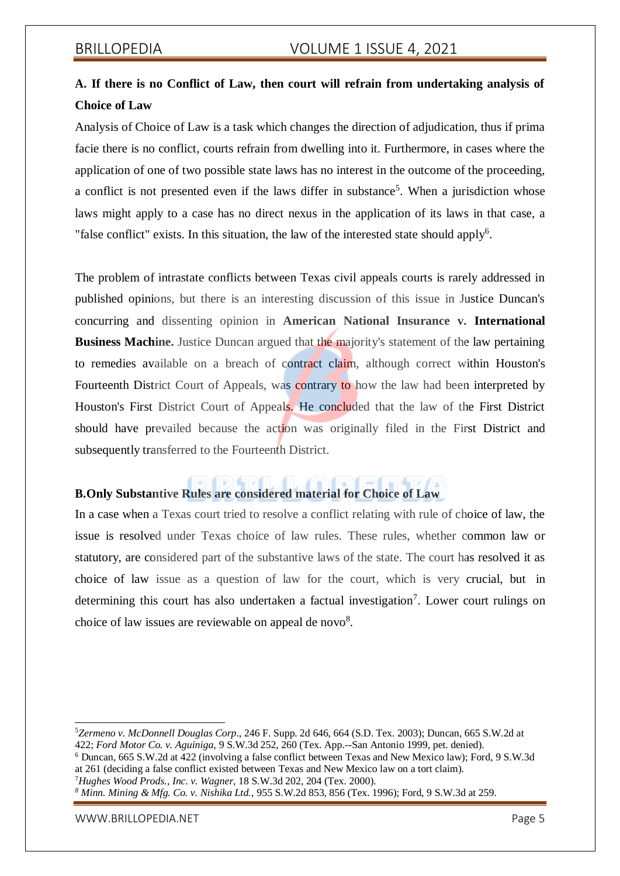# **A. If there is no Conflict of Law, then court will refrain from undertaking analysis of Choice of Law**

Analysis of Choice of Law is a task which changes the direction of adjudication, thus if prima facie there is no conflict, courts refrain from dwelling into it. Furthermore, in cases where the application of one of two possible state laws has no interest in the outcome of the proceeding, a conflict is not presented even if the laws differ in substance<sup>5</sup>. When a jurisdiction whose laws might apply to a case has no direct nexus in the application of its laws in that case, a "false conflict" exists. In this situation, the law of the interested state should apply<sup>6</sup>.

The problem of intrastate conflicts between Texas civil appeals courts is rarely addressed in published opinions, but there is an interesting discussion of this issue in Justice Duncan's concurring and dissenting opinion in **American National Insurance v. International Business Machine.** Justice Duncan argued that the majority's statement of the law pertaining to remedies available on a breach of contract claim, although correct within Houston's Fourteenth District Court of Appeals, was contrary to how the law had been interpreted by Houston's First District Court of Appeals. He concluded that the law of the First District should have prevailed because the action was originally filed in the First District and subsequently transferred to the Fourteenth District.

#### 同同显示 **B.Only Substantive Rules are considered material for Choice of Law**

In a case when a Texas court tried to resolve a conflict relating with rule of choice of law, the issue is resolved under Texas choice of law rules. These rules, whether common law or statutory, are considered part of the substantive laws of the state. The court has resolved it as choice of law issue as a question of law for the court, which is very crucial, but in determining this court has also undertaken a factual investigation<sup>7</sup>. Lower court rulings on choice of law issues are reviewable on appeal de novo $8$ .

<sup>7</sup>*Hughes Wood Prods., Inc. v. Wagner*, 18 S.W.3d 202, 204 (Tex. 2000).

[WWW.BRILLOPEDIA.NET](http://www.brillopedia.net/) Page 5

<sup>5</sup>*Zermeno v. McDonnell Douglas Corp*., 246 F. Supp. 2d 646, 664 (S.D. Tex. 2003); Duncan, 665 S.W.2d at 422; *Ford Motor Co. v. Aguiniga,* 9 S.W.3d 252, 260 (Tex. App.--San Antonio 1999, pet. denied).

<sup>6</sup> Duncan, 665 S.W.2d at 422 (involving a false conflict between Texas and New Mexico law); Ford, 9 S.W.3d at 261 (deciding a false conflict existed between Texas and New Mexico law on a tort claim).

*<sup>8</sup> Minn. Mining & Mfg. Co. v. Nishika Ltd.,* 955 S.W.2d 853, 856 (Tex. 1996); Ford, 9 S.W.3d at 259.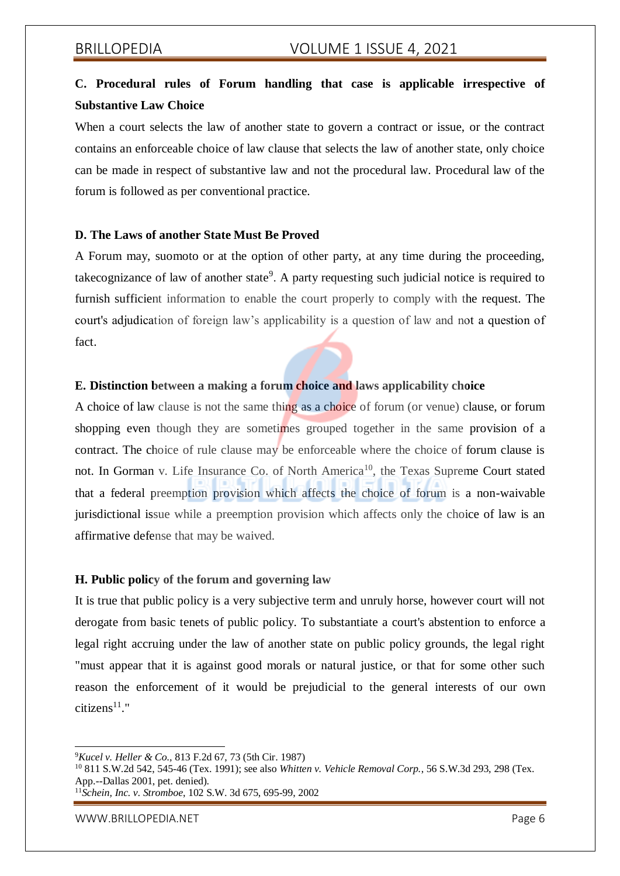# **C. Procedural rules of Forum handling that case is applicable irrespective of Substantive Law Choice**

When a court selects the law of another state to govern a contract or issue, or the contract contains an enforceable choice of law clause that selects the law of another state, only choice can be made in respect of substantive law and not the procedural law. Procedural law of the forum is followed as per conventional practice.

### **D. The Laws of another State Must Be Proved**

A Forum may, suomoto or at the option of other party, at any time during the proceeding, takecognizance of law of another state<sup>9</sup>. A party requesting such judicial notice is required to furnish sufficient information to enable the court properly to comply with the request. The court's adjudication of foreign law's applicability is a question of law and not a question of fact.

### **E. Distinction between a making a forum choice and laws applicability choice**

A choice of law clause is not the same thing as a choice of forum (or venue) clause, or forum shopping even though they are sometimes grouped together in the same provision of a contract. The choice of rule clause may be enforceable where the choice of forum clause is not. In Gorman v. Life Insurance Co. of North America<sup>10</sup>, the Texas Supreme Court stated that a federal preemption provision which affects the choice of forum is a non-waivable jurisdictional issue while a preemption provision which affects only the choice of law is an affirmative defense that may be waived.

### **H. Public policy of the forum and governing law**

It is true that public policy is a very subjective term and unruly horse, however court will not derogate from basic tenets of public policy. To substantiate a court's abstention to enforce a legal right accruing under the law of another state on public policy grounds, the legal right "must appear that it is against good morals or natural justice, or that for some other such reason the enforcement of it would be prejudicial to the general interests of our own  $citizens<sup>11</sup>$ "

<sup>9</sup>*Kucel v. Heller & Co.,* 813 F.2d 67, 73 (5th Cir. 1987)

<sup>10</sup> 811 S.W.2d 542, 545-46 (Tex. 1991); see also *Whitten v. Vehicle Removal Corp.*, 56 S.W.3d 293, 298 (Tex. App.--Dallas 2001, pet. denied).

<sup>11</sup>*Schein, Inc. v. Stromboe*, 102 S.W. 3d 675, 695-99, 2002